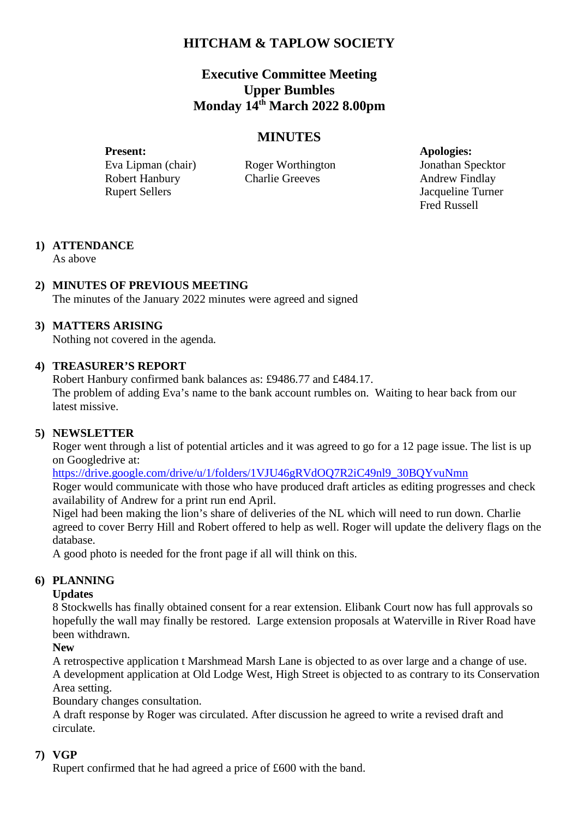# **HITCHAM & TAPLOW SOCIETY**

## **Executive Committee Meeting Upper Bumbles Monday 14th March 2022 8.00pm**

## **MINUTES**

Present: **Apologies:** Eva Lipman (chair) Roger Worthington Jonathan Specktor Robert Hanbury Charlie Greeves Andrew Findlay Rupert Sellers Jacqueline Turner

Fred Russell

# **1) ATTENDANCE**

As above

## **2) MINUTES OF PREVIOUS MEETING**

The minutes of the January 2022 minutes were agreed and signed

## **3) MATTERS ARISING**

Nothing not covered in the agenda.

#### **4) TREASURER'S REPORT**

Robert Hanbury confirmed bank balances as: £9486.77 and £484.17.

The problem of adding Eva's name to the bank account rumbles on. Waiting to hear back from our latest missive.

## **5) NEWSLETTER**

Roger went through a list of potential articles and it was agreed to go for a 12 page issue. The list is up on Googledrive at:

https://drive.google.com/drive/u/1/folders/1VJU46gRVdOQ7R2iC49nl9\_30BQYvuNmn

Roger would communicate with those who have produced draft articles as editing progresses and check availability of Andrew for a print run end April.

Nigel had been making the lion's share of deliveries of the NL which will need to run down. Charlie agreed to cover Berry Hill and Robert offered to help as well. Roger will update the delivery flags on the database.

A good photo is needed for the front page if all will think on this.

## **6) PLANNING**

#### **Updates**

8 Stockwells has finally obtained consent for a rear extension. Elibank Court now has full approvals so hopefully the wall may finally be restored. Large extension proposals at Waterville in River Road have been withdrawn.

#### **New**

A retrospective application t Marshmead Marsh Lane is objected to as over large and a change of use. A development application at Old Lodge West, High Street is objected to as contrary to its Conservation Area setting.

Boundary changes consultation.

A draft response by Roger was circulated. After discussion he agreed to write a revised draft and circulate.

## **7) VGP**

Rupert confirmed that he had agreed a price of £600 with the band.